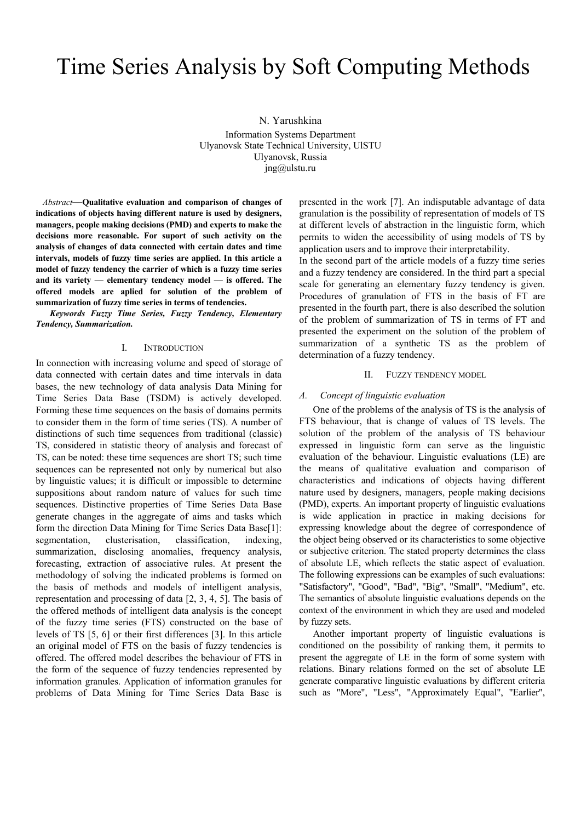# Time Series Analysis by Soft Computing Methods

N. Yarushkina Information Systems Department Ulyanovsk State Technical University, UlSTU Ulyanovsk, Russia jng@ulstu.ru

*Abstract*—**Qualitative evaluation and comparison of changes of indications of objects having different nature is used by designers, managers, people making decisions (PMD) and experts to make the decisions more reasonable. For suport of such activity on the analysis of changes of data connected with certain dates and time intervals, models of fuzzy time series are applied. In this article a model of fuzzy tendency the carrier of which is a fuzzy time series and its variety — elementary tendency model — is offered. The offered models are aplied for solution of the problem of summarization of fuzzy time series in terms of tendencies.** 

*Keywords Fuzzy Time Series, Fuzzy Tendency, Elementary Tendency, Summarization.* 

## I. INTRODUCTION

In connection with increasing volume and speed of storage of data connected with certain dates and time intervals in data bases, the new technology of data analysis Data Mining for Time Series Data Base (TSDM) is actively developed. Forming these time sequences on the basis of domains permits to consider them in the form of time series (TS). A number of distinctions of such time sequences from traditional (classic) TS, considered in statistic theory of analysis and forecast of TS, can be noted: these time sequences are short TS; such time sequences can be represented not only by numerical but also by linguistic values; it is difficult or impossible to determine suppositions about random nature of values for such time sequences. Distinctive properties of Time Series Data Base generate changes in the aggregate of aims and tasks which form the direction Data Mining for Time Series Data Base[1]: segmentation, clusterisation, classification, indexing, summarization, disclosing anomalies, frequency analysis, forecasting, extraction of associative rules. At present the methodology of solving the indicated problems is formed on the basis of methods and models of intelligent analysis, representation and processing of data [2, 3, 4, 5]. The basis of the offered methods of intelligent data analysis is the concept of the fuzzy time series (FTS) constructed on the base of levels of TS [5, 6] or their first differences [3]. In this article an original model of FTS on the basis of fuzzy tendencies is offered. The offered model describes the behaviour of FTS in the form of the sequence of fuzzy tendencies represented by information granules. Application of information granules for problems of Data Mining for Time Series Data Base is

presented in the work [7]. An indisputable advantage of data granulation is the possibility of representation of models of TS at different levels of abstraction in the linguistic form, which permits to widen the accessibility of using models of TS by application users and to improve their interpretability.

In the second part of the article models of a fuzzy time series and a fuzzy tendency are considered. In the third part a special scale for generating an elementary fuzzy tendency is given. Procedures of granulation of FTS in the basis of FT are presented in the fourth part, there is also described the solution of the problem of summarization of TS in terms of FT and presented the experiment on the solution of the problem of summarization of a synthetic TS as the problem of determination of a fuzzy tendency.

#### II. FUZZY TENDENCY MODEL

# *A. Concept of linguistic evaluation*

One of the problems of the analysis of TS is the analysis of FTS behaviour, that is change of values of TS levels. The solution of the problem of the analysis of TS behaviour expressed in linguistic form can serve as the linguistic evaluation of the behaviour. Linguistic evaluations (LE) are the means of qualitative evaluation and comparison of characteristics and indications of objects having different nature used by designers, managers, people making decisions (PMD), experts. An important property of linguistic evaluations is wide application in practice in making decisions for expressing knowledge about the degree of correspondence of the object being observed or its characteristics to some objective or subjective criterion. The stated property determines the class of absolute LE, which reflects the static aspect of evaluation. The following expressions can be examples of such evaluations: "Satisfactory", "Good", "Bad", "Big", "Small", "Medium", etc. The semantics of absolute linguistic evaluations depends on the context of the environment in which they are used and modeled by fuzzy sets.

Another important property of linguistic evaluations is conditioned on the possibility of ranking them, it permits to present the aggregate of LE in the form of some system with relations. Binary relations formed on the set of absolute LE generate comparative linguistic evaluations by different criteria such as "More", "Less", "Approximately Equal", "Earlier",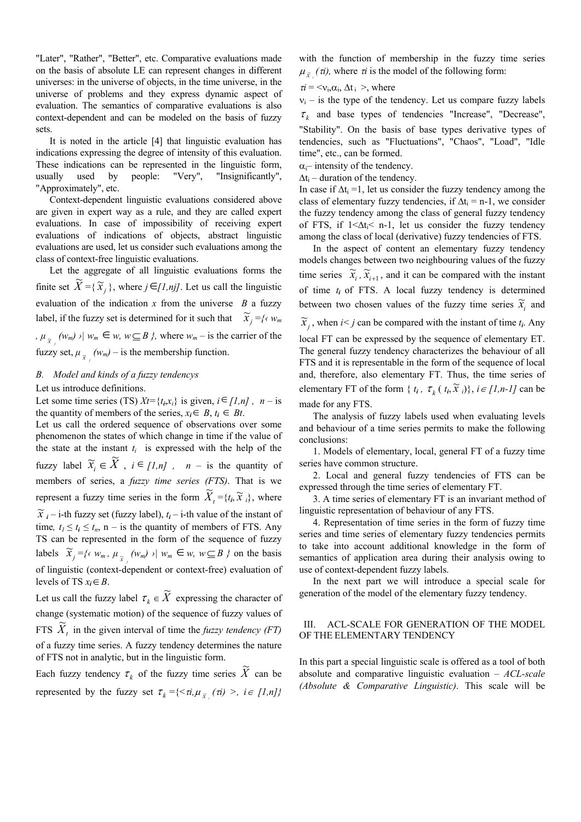"Later", "Rather", "Better", etc. Comparative evaluations made on the basis of absolute LE can represent changes in different universes: in the universe of objects, in the time universe, in the universe of problems and they express dynamic aspect of evaluation. The semantics of comparative evaluations is also context-dependent and can be modeled on the basis of fuzzy sets.

It is noted in the article [4] that linguistic evaluation has indications expressing the degree of intensity of this evaluation. These indications can be represented in the linguistic form, usually used by people: "Very", "Insignificantly", "Approximately", etc.

Context-dependent linguistic evaluations considered above are given in expert way as a rule, and they are called expert evaluations. In case of impossibility of receiving expert evaluations of indications of objects, abstract linguistic evaluations are used, let us consider such evaluations among the class of context-free linguistic evaluations.

Let the aggregate of all linguistic evaluations forms the finite set  $\widetilde{X} = {\widetilde{x}}_j$ , where *j*∈*[1,nj]*. Let us call the linguistic evaluation of the indication *x* from the universe *B* a fuzzy label, if the fuzzy set is determined for it such that  $\widetilde{x}_j = {\alpha_{m}}$  $\mu_{\tilde{x}}$  *(wm)*  $\vee$   $| w_m \in w$ ,  $w \subseteq B$  *}*, where  $w_m$  – is the carrier of the fuzzy set,  $\mu_{\tilde{x}}/(\tilde{w}_m)$  – is the membership function.

# *B. Model and kinds of a fuzzy tendencys*

Let us introduce definitions.

Let some time series (TS)  $Xt = \{t_i, x_i\}$  is given,  $i \in [1, n]$ ,  $n -$  is the quantity of members of the series,  $x_i \in B$ ,  $t_i \in Bt$ .

Let us call the ordered sequence of observations over some phenomenon the states of which change in time if the value of the state at the instant  $t_i$  is expressed with the help of the fuzzy label  $\widetilde{x}_i \in \widetilde{X}$ ,  $i \in [1,n]$ ,  $n -$  is the quantity of members of series, a *fuzzy time series (FTS)*. That is we represent a fuzzy time series in the form  $\widetilde{X}_t = {t_i, \widetilde{X}_i}$ , where  $\tilde{x}_i$  – i-th fuzzy set (fuzzy label),  $t_i$  – i-th value of the instant of time,  $t_1 \le t_i \le t_n$ , n – is the quantity of members of FTS. Any TS can be represented in the form of the sequence of fuzzy labels  $\widetilde{x}_j = \{ \langle w_m, \mu_{\widetilde{x}_j} (w_m) \rangle \mid w_m \in w, w \subseteq B \}$  on the basis of linguistic (context-dependent or context-free) evaluation of levels of TS  $x_i \in B$ .

Let us call the fuzzy label  $\tau_k \in \widetilde{X}$  expressing the character of change (systematic motion) of the sequence of fuzzy values of FTS  $\widetilde{X}_t$  in the given interval of time the *fuzzy tendency (FT)* of a fuzzy time series. A fuzzy tendency determines the nature of FTS not in analytic, but in the linguistic form.

Each fuzzy tendency  $\tau_k$  of the fuzzy time series  $\widetilde{X}$  can be represented by the fuzzy set  $\tau_k = \{ \langle \tau_i, \mu_{\tilde{X}_i}(\tau_i) \rangle, i \in [l,n] \}$  with the function of membership in the fuzzy time series  $\mu_{\tilde{X}_i}(\pi)$ , where  $\pi$  is the model of the following form:

 $\tau$ *i* =  $\langle v_i, \alpha_i, \Delta t_i \rangle$ , where

 $v_i$  – is the type of the tendency. Let us compare fuzzy labels

 $\tau_k$  and base types of tendencies "Increase", "Decrease", "Stability". On the basis of base types derivative types of

tendencies, such as "Fluctuations", "Chaos", "Load", "Idle time", etc., can be formed.

 $\alpha_i$ – intensity of the tendency.

 $\Delta t_i$  – duration of the tendency.

In case if  $\Delta t_i = 1$ , let us consider the fuzzy tendency among the class of elementary fuzzy tendencies, if  $\Delta t_i = n-1$ , we consider the fuzzy tendency among the class of general fuzzy tendency of FTS, if  $1 \leq \Delta t$ <sub>i</sub> n-1, let us consider the fuzzy tendency among the class of local (derivative) fuzzy tendencies of FTS.

In the aspect of content an elementary fuzzy tendency models changes between two neighbouring values of the fuzzy time series  $\widetilde{x}_i$ ,  $\widetilde{x}_{i+1}$ , and it can be compared with the instant of time *ti* of FTS. A local fuzzy tendency is determined between two chosen values of the fuzzy time series  $\widetilde{x}_i$  and  $\widetilde{x}_j$ , when *i* < *j* can be compared with the instant of time *t<sub>i</sub>*. Any local FT can be expressed by the sequence of elementary ET. The general fuzzy tendency characterizes the behaviour of all FTS and it is representable in the form of the sequence of local and, therefore, also elementary FT. Thus, the time series of elementary FT of the form {*t<sub>i</sub>*,  $\tau_k$  (*t<sub>i</sub>*,  $\tilde{x}$  *i*)}, *i*  $\in$  [1,n-1] can be made for any FTS.

The analysis of fuzzy labels used when evaluating levels and behaviour of a time series permits to make the following conclusions:

1. Models of elementary, local, general FT of a fuzzy time series have common structure.

2. Local and general fuzzy tendencies of FTS can be expressed through the time series of elementary FT.

3. A time series of elementary FT is an invariant method of linguistic representation of behaviour of any FTS.

4. Representation of time series in the form of fuzzy time series and time series of elementary fuzzy tendencies permits to take into account additional knowledge in the form of semantics of application area during their analysis owing to use of context-dependent fuzzy labels.

In the next part we will introduce a special scale for generation of the model of the elementary fuzzy tendency.

# III. ACL-SCALE FOR GENERATION OF THE MODEL OF THE ELEMENTARY TENDENCY

In this part a special linguistic scale is offered as a tool of both absolute and comparative linguistic evaluation – *ACL-scale (Absolute & Comparative Linguistic)*. This scale will be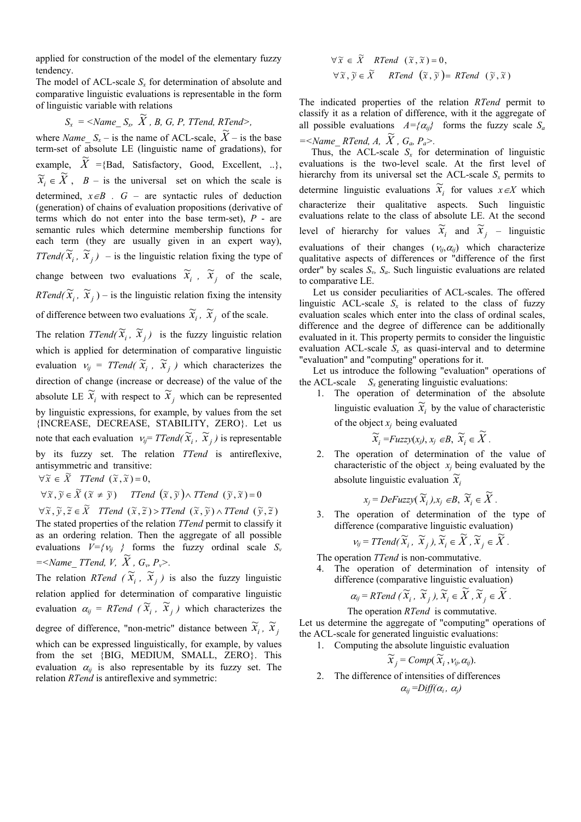applied for construction of the model of the elementary fuzzy tendency.

The model of ACL-scale *S<sub>x</sub>* for determination of absolute and comparative linguistic evaluations is representable in the form of linguistic variable with relations

$$
S_x = \langle Name \rangle S_x \times X, B, G, P, TTend, RTend>,
$$

where *Name*  $S_x$  – is the name of ACL-scale,  $\widetilde{X}$  – is the base term-set of absolute LE (linguistic name of gradations), for example,  $\widetilde{X} = \{\text{Bad, Satisfactory, Good, Excellent,} ...\}$ ,  $\widetilde{X}_i \in \widetilde{X}$ , *B* – is the universal set on which the scale is determined,  $x \in B$ . *G* – are syntactic rules of deduction (generation) of chains of evaluation propositions (derivative of terms which do not enter into the base term-set), *P* - are semantic rules which determine membership functions for each term (they are usually given in an expert way), *TTend*( $\tilde{x}_i$ ,  $\tilde{x}_j$ ) – is the linguistic relation fixing the type of change between two evaluations  $\widetilde{x}_i$ ,  $\widetilde{x}_j$  of the scale, *RTend*( $\widetilde{X}_i$ ,  $\widetilde{X}_j$ ) – is the linguistic relation fixing the intensity of difference between two evaluations  $\widetilde{x}_i$ ,  $\widetilde{x}_j$  of the scale.

The relation *TTend*( $\widetilde{x}_i$ ,  $\widetilde{x}_j$ ) is the fuzzy linguistic relation which is applied for determination of comparative linguistic evaluation  $v_{ij} = TTend(\tilde{x}_i, \tilde{x}_j)$  which characterizes the direction of change (increase or decrease) of the value of the absolute LE  $\tilde{x}_i$  with respect to  $\tilde{x}_j$  which can be represented by linguistic expressions, for example, by values from the set {INCREASE, DECREASE, STABILITY, ZERO}. Let us note that each evaluation  $v_{ij} = TTend(\tilde{x}_i, \tilde{x}_j)$  is representable by its fuzzy set. The relation *TTend* is antireflexive, antisymmetric and transitive:

 $\forall \widetilde{x} \in \widetilde{X}$  *TTend*  $(\widetilde{x}, \widetilde{x}) = 0$ ,

 $\forall \widetilde{x}, \widetilde{y} \in \widetilde{X} \left( \widetilde{x} \neq \widetilde{y} \right)$  *TTend*  $(\widetilde{x}, \widetilde{y}) \wedge T$ *Tend*  $(\widetilde{y}, \widetilde{x}) = 0$ 

 $\forall \widetilde{x}, \widetilde{y}, \widetilde{z} \in \widetilde{X}$  *TTend*  $(\widetilde{x}, \widetilde{z}) > TTend$   $(\widetilde{x}, \widetilde{y}) \wedge TTend$   $(\widetilde{y}, \widetilde{z})$ The stated properties of the relation *TTend* permit to classify it as an ordering relation. Then the aggregate of all possible evaluations  $V = \{v_{ij} \}$  forms the fuzzy ordinal scale  $S_v$  $=$   $\leq$ *Name\_TTend, V,*  $\widetilde{X}$ *, G<sub>v</sub>, P<sub>v</sub>>.* 

The relation *RTend*  $(\widetilde{x}_i, \widetilde{x}_j)$  is also the fuzzy linguistic relation applied for determination of comparative linguistic evaluation  $\alpha_{ij} = RTend$  ( $\tilde{x}_i$ ,  $\tilde{x}_j$ ) which characterizes the degree of difference, "non-metric" distance between  $\widetilde{x}_i$ ,  $\widetilde{x}_j$ which can be expressed linguistically, for example, by values from the set {BIG, MEDIUM, SMALL, ZERO}. This evaluation  $\alpha_{ij}$  is also representable by its fuzzy set. The relation *RTend* is antireflexive and symmetric:

$$
\forall \widetilde{x} \in \widetilde{X} \quad RTend \quad (\widetilde{x}, \widetilde{x}) = 0,
$$
  

$$
\forall \widetilde{x}, \widetilde{y} \in \widetilde{X} \quad RTend \quad (\widetilde{x}, \widetilde{y}) = RTend \quad (\widetilde{y}, \widetilde{x})
$$

The indicated properties of the relation *RTend* permit to classify it as a relation of difference, with it the aggregate of all possible evaluations  $A = \{ \alpha_{ij} \}$  forms the fuzzy scale  $S_a$  $=$   $\leq$ *Name\_RTend, A,*  $\widetilde{X}$ *, G<sub>a</sub>, P<sub>a</sub>>.* 

Thus, the ACL-scale  $S_x$  for determination of linguistic evaluations is the two-level scale. At the first level of hierarchy from its universal set the ACL-scale  $S<sub>x</sub>$  permits to determine linguistic evaluations  $\tilde{x}_i$  for values  $x \in X$  which characterize their qualitative aspects. Such linguistic evaluations relate to the class of absolute LE. At the second level of hierarchy for values  $\tilde{x}_i$  and  $\tilde{x}_j$  – linguistic evaluations of their changes  $(v_{ij}, \alpha_{ij})$  which characterize qualitative aspects of differences or "difference of the first order" by scales  $S_{\nu}$ ,  $S_{a}$ . Such linguistic evaluations are related to comparative LE.

Let us consider peculiarities of ACL-scales. The offered linguistic ACL-scale  $S_x$  is related to the class of fuzzy evaluation scales which enter into the class of ordinal scales, difference and the degree of difference can be additionally evaluated in it. This property permits to consider the linguistic evaluation ACL-scale  $S<sub>x</sub>$  as quasi-interval and to determine "evaluation" and "computing" operations for it.

Let us introduce the following "evaluation" operations of the ACL-scale  $S_x$  generating linguistic evaluations:

1. The operation of determination of the absolute linguistic evaluation  $\tilde{x}_i$  by the value of characteristic of the object *xj* being evaluated

$$
\widetilde{X}_i = Fuzzy(x_j), x_j \in B, \ \widetilde{X}_i \in \widetilde{X}.
$$

2. The operation of determination of the value of characteristic of the object  $x_i$  being evaluated by the absolute linguistic evaluation  $\widetilde{x}_i$ 

$$
x_j = DeFuzzy(\widetilde{X}_i), x_j \in B, \ \widetilde{X}_i \in \widetilde{X}.
$$

3. The operation of determination of the type of

difference (comparative linguistic evaluation)  

$$
v_{ij} = Trend(\widetilde{X}_i, \widetilde{X}_j), \widetilde{X}_i \in \widetilde{X}, \widetilde{X}_j \in \widetilde{X}
$$
.

The operation *TTend* is non-commutative.

4. The operation of determination of intensity of

difference (comparative linguistic evaluation)  

$$
\alpha_{ij} = RTend (\widetilde{X}_i, \widetilde{X}_j), \widetilde{X}_i \in \widetilde{X}, \widetilde{X}_j \in \widetilde{X}.
$$

The operation *RTend* is commutative.

Let us determine the aggregate of "computing" operations of the ACL-scale for generated linguistic evaluations:

1. Computing the absolute linguistic evaluation  $\widetilde{x}_j = Comp(\widetilde{x}_i, v_{ij}, \alpha_{ij})$ .

$$
\widetilde{X}_j = Comp(\widetilde{X}_i, v_{ij}, \alpha_{ij}).
$$

2. The difference of intensities of differences  $\alpha_{ii} = \text{Diff}(\alpha_i, \alpha_i)$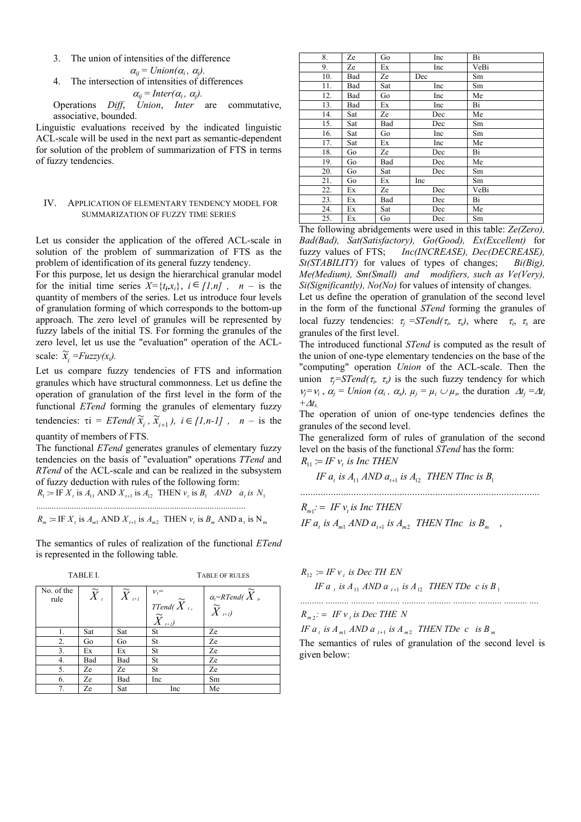3. The union of intensities of the difference

$$
\alpha_{ij} = Union(\alpha_i, \alpha_j).
$$

4. The intersection of intensities of differences

 $\alpha_{ii}$  = *Inter*( $\alpha_i$ ,  $\alpha_i$ ).

Operations *Diff*, *Union*, *Inter* are commutative, associative, bounded.

Linguistic evaluations received by the indicated linguistic ACL-scale will be used in the next part as semantic-dependent for solution of the problem of summarization of FTS in terms of fuzzy tendencies.

# IV. APPLICATION OF ELEMENTARY TENDENCY MODEL FOR SUMMARIZATION OF FUZZY TIME SERIES

Let us consider the application of the offered ACL-scale in solution of the problem of summarization of FTS as the problem of identification of its general fuzzy tendency.

For this purpose, let us design the hierarchical granular model for the initial time series  $X = \{t_i, x_i\}$ ,  $i \in [1, n]$ ,  $n -$  is the quantity of members of the series. Let us introduce four levels of granulation forming of which corresponds to the bottom-up approach. The zero level of granules will be represented by fuzzy labels of the initial TS. For forming the granules of the zero level, let us use the "evaluation" operation of the ACLscale:  $\widetilde{x}_i = Fuzzy(x_i)$ .

Let us compare fuzzy tendencies of FTS and information granules which have structural commonness. Let us define the operation of granulation of the first level in the form of the functional *ETend* forming the granules of elementary fuzzy tendencies:  $\tau i = ETend(\tilde{x}_i, \tilde{x}_{i+1}), i \in [1, n-1]$ ,  $n -$  is the quantity of members of FTS.

The functional *ETend* generates granules of elementary fuzzy tendencies on the basis of "evaluation" operations *TTend* and *RTend* of the ACL-scale and can be realized in the subsystem of fuzzy deduction with rules of the following form:

 $R_1 := \text{IF } X_t$  is  $A_{11}$  AND  $X_{t+1}$  is  $A_{12}$  THEN  $v_t$  is  $B_1$  *AND a<sub>t</sub> is N*<sub>1</sub>

 $R_m := \text{IF } X_t$  is  $A_{m1}$  AND  $X_{t+1}$  is  $A_{m2}$  THEN  $v_t$  is  $B_m$  AND  $a_t$  is  $N_m$ 

..............................................................................................

The semantics of rules of realization of the functional *ETend* is represented in the following table.

| <b>TABLE I.</b>    |                   |                          | <b>TABLE OF RULES</b>                                            |                                                                                                                                       |  |
|--------------------|-------------------|--------------------------|------------------------------------------------------------------|---------------------------------------------------------------------------------------------------------------------------------------|--|
| No. of the<br>rule | $\widetilde{X}_t$ | $\widetilde{X}$ $_{t+1}$ | $v_t =$<br>TTend( $\widetilde{X}_t$ ,<br>$\widetilde{X}_{t+1}$ ) | $\Big\{ \begin{array}{l} \alpha_i \!\!=\!\! R Tend(\widetilde{\widetilde{X}}_{\iota} \ \widetilde{\widetilde{X}}_{\iota} \end{array}$ |  |
| 1.                 | Sat               | Sat                      | St                                                               | Ze                                                                                                                                    |  |
| 2.                 | Go.               | Go                       | <b>St</b>                                                        | Ze                                                                                                                                    |  |
| 3.                 | Ex                | Ex                       | St                                                               | Ze                                                                                                                                    |  |
| 4.                 | Bad               | Bad                      | St                                                               | Ze                                                                                                                                    |  |
| 5.                 | Ze                | Ze                       | St                                                               | Ze                                                                                                                                    |  |
| 6.                 | Ze                | Bad                      | Inc                                                              | Sm                                                                                                                                    |  |
| 7.                 | Ze                | Sat                      | Inc                                                              | Me                                                                                                                                    |  |

| 8.  | Ze  | Go  | Inc | Bi   |
|-----|-----|-----|-----|------|
| 9.  | Ze  | Ex  | Inc | VeBi |
| 10. | Bad | Ze  | Dec | Sm   |
| 11. | Bad | Sat | Inc | Sm   |
| 12. | Bad | Go  | Inc | Me   |
| 13. | Bad | Ex  | Inc | Bi   |
| 14. | Sat | Ze  | Dec | Me   |
| 15. | Sat | Bad | Dec | Sm   |
| 16. | Sat | Go  | Inc | Sm   |
| 17. | Sat | Ex  | Inc | Me   |
| 18. | Go  | Ze  | Dec | Bi   |
| 19. | Go  | Bad | Dec | Me   |
| 20. | Go  | Sat | Dec | Sm   |
| 21. | Go  | Еx  | Inc | Sm   |
| 22. | Ex  | Ze  | Dec | VeBi |
| 23. | Ex  | Bad | Dec | Bi   |
| 24. | Ex  | Sat | Dec | Me   |
| 25. | Ex  | Go  | Dec | Sm   |

The following abridgements were used in this table: *Ze(Zero), Bad(Bad), Sat(Satisfactory), Go(Good), Ex(Excellent)* for fuzzy values of FTS; *Inc(INCREASE), Dec(DECREASE), St(STABILITY)* for values of types of changes; *Bi(Big), Me(Medium), Sm(Small) and modifiers, such as Ve(Very), Si(Significantly), No(No)* for values of intensity of changes.

Let us define the operation of granulation of the second level in the form of the functional *STend* forming the granules of local fuzzy tendencies:  $\tau_i = \frac{STend(\tau_i, \tau_s)}{T_i + T_s}$ , where  $\tau_i, \tau_s$  are granules of the first level.

The introduced functional *STend* is computed as the result of the union of one-type elementary tendencies on the base of the "computing" operation *Union* of the ACL-scale. Then the union  $\tau_i = \frac{STend(\tau_i, \tau_s)}{s}$  is the such fuzzy tendency for which  $v_i = v_i$ ,  $\alpha_i = Union(\alpha_i, \alpha_s)$ ,  $\mu_i = \mu_i \cup \mu_s$ , the duration  $\Delta t_i = \Delta t_i$  $+$  $\Delta t_s$ 

The operation of union of one-type tendencies defines the granules of the second level.

The generalized form of rules of granulation of the second level on the basis of the functional *STend* has the form:

*..............................................................................................*

 $R_{11} := IF v_t$  is Inc THEN

IF 
$$
a_t
$$
 is  $A_{11}$  AND  $a_{t+1}$  is  $A_{12}$  THEN *Thc* is  $B_1$ 

$$
R_{m1} := IF v_t \text{ is Inc THEN}
$$
  
IF  $a_t$  is  $A_{m1}$  AND  $a_{t+1}$  is  $A_{m2}$  THEN TInc is  $B_m$ ,

$$
R_{12} := IF \, v_t \, \text{is Dec TH EN}
$$
\n
$$
IF \, a_t \, \text{is } A_{11} \, AND \, a_{t+1} \, \text{is } A_{12} \, THEN \, TDE \, c \, \text{is } B_1
$$

 $R_{m2}$ : = IF  $v_i$  is Dec THE N

IF  $a_t$  is  $A_{m1}$  AND  $a_{t+1}$  is  $A_{m2}$  THEN TDe  $c$  is  $B_m$ 

The semantics of rules of granulation of the second level is given below:

*.......... .......... .......... .......... .......... .......... .......... .......... .......... ....*